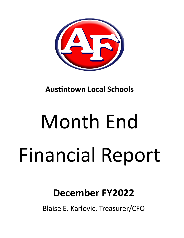

**Austintown Local Schools** 

# Month End Financial Report

## **December FY2022**

Blaise E. Karlovic, Treasurer/CFO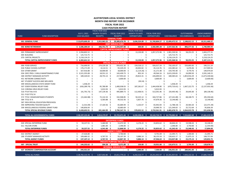#### **AUSTINTOWN LOCAL SCHOOL DISTRICT MONTH END REPORT FOR DECEMBER FISCAL YEAR 2022 CASH POSITION REPORT**

|             |                                         |    |                             |    | FISCAL YEAR 2022     |      |                                   |    | FISCAL YEAR 2022     |     |                                                                   |      |                                   |              |                    |     |                     |
|-------------|-----------------------------------------|----|-----------------------------|----|----------------------|------|-----------------------------------|----|----------------------|-----|-------------------------------------------------------------------|------|-----------------------------------|--------------|--------------------|-----|---------------------|
|             |                                         |    | <b>JULY 1, 2021</b>         |    | <b>MONTH TO DATE</b> |      | FISCAL YEAR 2022                  |    | <b>MONTH TO DATE</b> |     | FISCAL YEAR 2022                                                  |      |                                   |              | <b>OUTSTANDING</b> |     | <b>UNENCUMBERED</b> |
| <b>FUND</b> | <b>FUND DESCRIPTION</b>                 |    | <b>CASH BALANCE</b>         |    | <b>RECEIPTS</b>      |      | <b>RECEIPTS</b>                   |    | <b>EXPENDITURES</b>  |     | <b>EXPENDITURES</b>                                               |      | CASH BALANCE ENCUMBRANCES         |              |                    |     | <b>CASH BALANCE</b> |
|             |                                         |    |                             |    |                      |      | <b>GENERAL FUND</b>               |    |                      |     |                                                                   |      |                                   |              |                    |     |                     |
|             | 001 GENERAL FUND                        |    | \$13,879,600.39 \$          |    |                      |      | 2,915,963.25 \$ 20,389,676.70 \$  |    |                      |     | 3,636,524.89 \$ 21,769,804.57 \$ 12,499,472.52 \$ 2,188,012.15 \$ |      |                                   |              |                    |     | 10,311,460.37       |
|             |                                         |    |                             |    |                      |      | <b>DEBT SERVICE FUND</b>          |    |                      |     |                                                                   |      |                                   |              |                    |     |                     |
|             | 002 BOND RETIREMENT                     |    | \$3,586,200.64\$            |    | 206,751.73 \$        |      | 1,543,447.00 \$                   |    | 600.00 \$            |     |                                                                   |      | 2,582,085.28 \$ 2,547,562.36 \$   |              | 806,577.42 \$      |     | 1,740,984.94        |
|             |                                         |    |                             |    |                      |      | <b>CAPITAL IMPROVEMENT FUNDS</b>  |    |                      |     |                                                                   |      |                                   |              |                    |     |                     |
|             | 003 PERMANENT IMPROVEMENT               |    | \$2,958,803.52\$            |    |                      | \$   | $\omega$                          | \$ | 13,150.00 \$         |     | 1,057,272.96 \$                                                   |      | 1,901,530.56 \$                   |              | 58,253.25 \$       |     | 1,843,277.31        |
|             | 004 BUILDING                            | Ś. | 125,713.75 \$               |    |                      | Ŝ    |                                   |    |                      | \$  |                                                                   | Ŝ.   | 125,713.75 \$                     |              |                    | \$  | 125,713.75          |
|             | 070 CAPITAL PROJECTS                    |    | \$3,218,124.25              |    |                      |      |                                   |    |                      | Ŝ   |                                                                   | \$   | 3,218,124.25 \$                   |              |                    | \$  | 3,218,124.25        |
|             | TOTAL CAPITAL IMPROVEMENT FUNDS         |    | \$6,302,641.52\$            |    |                      |      |                                   |    | 13,150.00            | - Ś |                                                                   |      | 1,057,272.96 \$ 5,245,368.56 \$   |              | 58,253.25 \$       |     | 5,187,115.31        |
|             |                                         |    |                             |    |                      |      | <b>SPECIAL REVENUE FUNDS</b>      |    |                      |     |                                                                   |      |                                   |              |                    |     |                     |
|             | 006 FOOD SERVICE                        | Ś. | 716,690.95 \$               |    | 274,229.28 \$        |      | 959,431.36 \$                     |    | 159,526.12 \$        |     | 926,017.24 \$                                                     |      | 750,105.07 \$                     |              | 559,893.83 \$      |     | 190,211.24          |
|             | 018 PUBLIC SCHOOL SUPPORT               |    | 176,171.09 \$               |    | 8,114.51 \$          |      | 93,329.29 \$                      |    | 20,002.82 \$         |     | 45,114.76 \$                                                      |      | 224,385.62 \$                     |              | $6,476.06$ \$      |     | 217,909.56          |
|             | 019 OTHER GRANT                         |    | 167,916.88 \$               |    | 18,000.00 \$         |      | 18,000.00 \$                      |    | $(1, 114.26)$ \$     |     | 31,171.48 \$                                                      |      | 154,745.40 \$                     |              | 4,770.76 \$        |     | 149,974.64          |
|             | 034 OSFC PROJ-.5 MILLS MAINTENANCE FUND |    | 3,521,355.08 \$             |    | 18,551.12 \$         |      | 143,439.73 \$                     |    | $852.24$ \$          |     | 49,564.16 \$                                                      |      | 3,615,230.65 \$                   |              | 24,090.50 \$       |     | 3,591,140.15        |
|             | 300 DISTRICT MANAGED ACTIVITY           |    | 189,320.02 \$               |    | 28,755.13 \$         |      | 217,955.63 \$                     |    | 29,813.31 \$         |     | 226,690.02 \$                                                     |      | 180,585.63 \$                     |              | 1,853,916.29 \$    |     | (1,673,330.66)      |
|             | <b>451 NETWORK CONNECTIVITY</b>         |    |                             |    |                      | Ŝ.   | 3,600.00 \$                       |    | $\sim$               | - Ś | 3,600.00 \$                                                       |      |                                   |              | $3,600.00$ \$      |     | (3,600.00)          |
|             | 467 STUDENT SUCCESS AND WELLNESS        |    |                             |    |                      | Ś    |                                   | .s | $(30.24)$ \$         |     |                                                                   | \$.  |                                   | <sup>5</sup> |                    | \$  | $\sim$              |
|             | 499 MISCELLANEOUS STATE GRANT FUND      |    | 1,458.29                    |    |                      | S    |                                   |    |                      | -S  |                                                                   |      | 1,458.29 \$                       |              |                    | Ŝ.  | 1,458.29            |
|             | 507 ESSER FEDERAL RELIEF FUND           |    | $(426, 289.74)$ \$          |    | 95,780.89            | -\$  | 1,400,038.03                      | -S | 187,281.67           | -S  | 1,444,458.90                                                      |      | $(470, 710.61)$ \$                |              | 1,667,222.75       | -S  | (2, 137, 933.36)    |
|             | 510 CORONA VIRUS RELIEF FUND            |    |                             | -S | $5,013.93$ \$        |      | $5,013.93$ \$                     |    |                      | \$  | 5,013.93 \$                                                       |      |                                   | -Ś           |                    | Ŝ.  |                     |
|             | 516 FY19 Title VI-B                     |    | $(41,791.73)$ \$            |    | 147,139.36 \$        |      | 495,889.73 \$                     |    | 112,406.91 \$        |     | 513,591.46 \$                                                     |      | $(59, 493.46)$ \$                 |              | 29,645.00          | Ŝ.  | (89, 138.46)        |
|             | 551 FY20 TITLE III                      |    |                             | -Ś |                      | \$   |                                   | \$ |                      | \$  |                                                                   | - \$ |                                   | -\$          |                    | Ŝ.  |                     |
|             | 572 TITLE I DISADVANTAGED STUDENTS      |    | $(15,462.88)$ \$            |    | 72,132.33 \$         |      | 332,948.85 \$                     |    | 50,325.12 \$         |     | 344,727.86 \$                                                     |      | $(27, 241.89)$ \$                 |              | 68,108.75          | - Ś | (95, 350.64)        |
|             | 584 TITLE IV-A                          |    |                             | Ŝ  | $6,583.88$ \$        |      | 44,532.56 \$                      |    | $5,857.76$ \$        |     | 47,679.36 \$                                                      |      | $(3, 146.80)$ \$                  |              | $\blacksquare$     | \$  | (3, 146.80)         |
|             | 587 IDEA SPECIAL EDUCATION PRESCHOOL    |    |                             | S, |                      | Ŝ.   | $\sim$                            | Ŝ. | $\sim$               | Ŝ.  | $\sim$                                                            | - \$ | - \$                              |              | $\sim$             | Ś.  |                     |
|             | 590 IMPROVING TEACHER QUALITY           |    | $(1,531.09)$ \$             |    | 17,164.56 \$         |      | 65,684.94 \$                      |    | $5,102.07$ \$        |     | 65,942.04 \$                                                      |      | $(1,788.19)$ \$                   |              | 20,583.20 \$       |     | (22, 371.39)        |
|             | 599 MISCELLANEOUS FEDERAL GRANT FUND    |    | 140,856.04 \$               |    |                      | S    | 10,683.69 \$                      |    |                      | S   | 29,990.70 \$                                                      |      | 121,549.03 \$                     |              | 25,712.64 \$       |     | 95,836.39           |
|             | TOTAL SPECIAL REVENUE FUNDS             |    | $$4,428,692.91$ \$          |    | 691,464.99           | - \$ | 3,790,547.74 \$                   |    | 570,023.52 \$        |     | 3,733,561.91 \$                                                   |      | 4,485,678.74 \$                   |              | 4,264,019.78 \$    |     | 221,658.96          |
|             |                                         |    |                             |    |                      |      |                                   |    |                      |     |                                                                   |      |                                   |              |                    |     |                     |
|             | <b>TOTAL ALL GOVERNMENTAL FUNDS</b>     |    | $$28,197,135.46$ \$         |    | $3,814,179.97$ \$    |      | 25,723,671.44 \$                  |    |                      |     | 4,220,298.41 \$ 29,142,724.72 \$ 24,778,082.18 \$ 7,316,862.60 \$ |      |                                   |              |                    |     | 17,461,219.58       |
|             |                                         |    |                             |    |                      |      |                                   |    |                      |     |                                                                   |      |                                   |              |                    |     |                     |
|             |                                         |    |                             |    |                      |      | <b>ENTERPRISE FUNDS</b>           |    |                      |     |                                                                   |      |                                   |              |                    |     |                     |
|             | 020 SPECIAL ENTERPRISE FUND             | Ś  | 59,227.55 \$                |    | $5,460.00$ \$        |      | 13,472.50 \$                      |    | $6,176.22$ \$        |     | 33,853.62 \$                                                      |      | 38,846.43 \$                      |              | 19,598.43 \$       |     | 19,248.00           |
|             | 011 FALCON STORE                        | Ś  |                             | Ŝ. | $1,081.00$ \$        |      | 2,396.00 \$                       |    | $\sim$               | Ŝ.  |                                                                   | -Ŝ   | 2,396.00 \$                       |              | 3,750.00 \$        |     | (1,354.00)          |
|             | <b>TOTAL ENTERPRISE FUNDS</b>           | Ś  | 59,227.55 \$                |    | $6,541.00$ \$        |      | 15,868.50 \$                      |    | $6,176.22$ \$        |     | 33,853.62 \$                                                      |      | 41,242.43 \$                      |              | 23,348.43 \$       |     | 17,894.00           |
|             |                                         |    |                             |    |                      |      | <b>AGENCY FUNDS</b>               |    |                      |     |                                                                   |      |                                   |              |                    |     |                     |
|             | 022 DISTRICT AGENCY                     | Ś. | 27,426.80 \$                |    | $-5$                 |      | 4,760.00 \$                       |    | $-5$                 |     | 9,791.09 \$                                                       |      | 22,395.71 \$                      |              | $1,300.00$ \$      |     | 21,095.71           |
|             | 200 STUDENT MANAGED ACTIVITY            | Ś  | 109,680.32 \$               |    | $6,767.55$ \$        |      | 59,107.39 \$                      |    | $9,886.14$ \$        |     | 38,155.54 \$                                                      |      | 130,632.17 \$                     |              | 21,875.13 \$       |     | 108,757.04          |
|             | <b>TOTAL AGENCY FUNDS</b>               | Ś. | 137,107.12 \$               |    | $6,767.55$ \$        |      | 63,867.39 \$                      |    | $9,886.14$ \$        |     | 47,946.63 \$                                                      |      | 153,027.88 \$                     |              | 23,175.13 \$       |     | 129,852.75          |
|             |                                         |    |                             |    |                      |      | <b>PRIVATE PURPOSE TRUST FUND</b> |    |                      |     |                                                                   |      |                                   |              |                    |     |                     |
|             | 007 SPECIAL TRUST                       |    | $\frac{1}{2}$ 144,232.62 \$ |    | 204.28 \$            |      | 8,371.89 \$                       |    | 150.00 \$            |     | 19,931.00 \$                                                      |      | 132,673.51 \$                     |              | 3,795.00 \$        |     | 128,878.51          |
|             |                                         |    |                             |    |                      |      | <b>INTERNAL SERVICE FUND</b>      |    |                      |     |                                                                   |      |                                   |              |                    |     |                     |
|             | 027 WORKERS COMPENSATION ACCOUNT        |    | \$244,431.03\$              |    | $\sim 100$           | \$   | $-5$                              |    | $6,000.00$ \$        |     | 7,500.00 \$                                                       |      | 236,931.03 \$                     |              | 289,041.00 \$      |     | (52, 109.97)        |
|             |                                         |    |                             |    |                      |      |                                   |    |                      |     |                                                                   |      |                                   |              |                    |     |                     |
|             | <b>TOTAL ALL FUNDS</b>                  |    | $$28,782,133.78$ \$         |    | $3,827,692.80$ \$    |      | 25,811,779.22 \$                  |    | 4,242,510.77 \$      |     |                                                                   |      | 29,251,955.97 \$ 25,341,957.03 \$ |              | 7,656,222.16 \$    |     | 17,685,734.87       |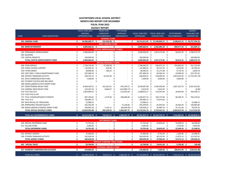#### **AUSTINTOWN LOCAL SCHOOL DISTRICT MONTH END REPORT FOR DECEMBER**

**FISCAL YEAR 2022**

|             |                                         |    |                       |      | <b>BUDGET REPORT</b>              |                       |               |                  |              |                                   |      |                     |      |                               |
|-------------|-----------------------------------------|----|-----------------------|------|-----------------------------------|-----------------------|---------------|------------------|--------------|-----------------------------------|------|---------------------|------|-------------------------------|
|             |                                         |    | FISCAL YEAR 2022      |      | <b>PRIOR YEAR</b>                 | <b>FYTD BOARD</b>     |               |                  |              |                                   |      |                     |      | <b>BUDGET</b>                 |
|             |                                         |    | ORIGINAL              |      | <b>CARRYOVER</b>                  | <b>APPROVED</b>       |               | FISCAL YEAR 2022 |              | FISCAL YEAR 2022                  |      | <b>OUTSTANDING</b>  |      | <b>AVAILABLE FOR</b>          |
| <b>FUND</b> | <b>FUND DESCRIPTION</b>                 |    | <b>APPROPRIATIONS</b> |      | <b>ENCUMBRANCES</b>               | <b>AMENDMENTS</b>     |               | EXPENDABLE       |              | <b>EXPENDITURES</b>               |      | <b>ENCUMBRANCES</b> |      | <b>EXPENDITURE</b>            |
|             |                                         |    |                       |      | <b>GENERAL FUND</b>               |                       |               |                  |              |                                   |      |                     |      |                               |
|             | 001 GENERAL FUND                        | Ś. | 44,500,388.77 \$      |      | 215,222.28 \$                     |                       | $-5$          |                  |              | 44,715,611.05 \$ 21,769,804.57 \$ |      |                     |      | 2,188,012.15 \$ 20,757,794.33 |
|             |                                         |    |                       |      | <b>DEBT SERVICE FUND</b>          |                       |               |                  |              |                                   |      |                     |      |                               |
|             | 002 BOND RETIREMENT                     | Ś. | 3,809,666.91 \$       |      | $\omega_{\rm{max}}$               | -\$                   | $-5$          |                  |              | 3,809,666.91 \$ 2,582,085.28 \$   |      | 806,577.42 \$       |      | 421.004.21                    |
|             |                                         |    |                       |      | <b>CAPITAL IMPROVEMENT FUNDS</b>  |                       |               |                  |              |                                   |      |                     |      |                               |
|             | 003 PERMANENT IMPROVEMENT               | ς. | 2,900,000.00          | S.   |                                   | \$<br>$\sim$          | \$            | 2,900,000.00 \$  |              | 1,057,272.96                      | - Ś  | 58,253.25 \$        |      | 1,784,473.79                  |
|             | 004 BUILDING                            |    |                       | Ś    |                                   |                       | Ś             |                  |              |                                   | S    |                     | \$   |                               |
|             | 070 CAPITAL PROJECTS                    |    | 100,000.00            | -\$  |                                   |                       | Ś             | 100,000.00       | - Ś          |                                   |      |                     | \$   | 100,000.00                    |
|             | TOTAL CAPITAL IMPROVEMENT FUNDS         |    | 3,000,000.00 \$       |      |                                   |                       | \$.           | 3,000,000.00 \$  |              | 1,057,272.96 \$                   |      | 58,253.25 \$        |      | 1,884,473.79                  |
|             |                                         |    |                       |      | <b>SPECIAL REVENUE FUNDS</b>      |                       |               |                  |              |                                   |      |                     |      |                               |
|             | 006 FOOD SERVICE                        | \$ | 1,750,718.39 \$       |      | 47,348.58 \$                      |                       | \$            | 1,798,066.97 \$  |              | 926,017.24 \$                     |      | 559,893.83 \$       |      | 312,155.90                    |
|             | 018 PUBLIC SCHOOL SUPPORT               |    | 132,052.45            | - \$ | 834.00 \$                         |                       | \$            | 132,886.45 \$    |              | 45,114.76 \$                      |      | 6,476.06 \$         |      | 81,295.63                     |
|             | 019 OTHER GRANT                         |    | 38,000.00 \$          |      | 583.02 \$                         |                       | Ś             | 38,583.02 \$     |              | 31,171.48 \$                      |      | 4,770.76 \$         |      | 2,640.78                      |
|             | 034 OSFC PROJ-.5 MILLS MAINTENANCE FUND |    | 297,408.19            | - \$ |                                   | Ś                     | Ś             | 297,408.19 \$    |              | 49,564.16                         | - \$ | 24,090.50           | - S  | 223,753.53                    |
|             | 300 DISTRICT MANAGED ACTIVITY           |    | 330,743.15            | - \$ | 16,101.46                         | -Ś                    |               | 346,844.61 \$    |              | 226,690.02                        | - \$ | 1,853,916.29        | -Ŝ   | (1,733,761.70)                |
|             | 451 DATA COMMUNICATION FUND             |    | 7,200.00              | - \$ |                                   |                       |               | 7,200.00         | -Ś           | 3,600.00                          | -\$  | 3,600.00            |      |                               |
|             | 467 STUDENT SUCCESS AND WELLNESS        |    |                       | \$   |                                   |                       |               |                  | .S           |                                   | S    | $\sim$              | S    |                               |
|             | 499 MISCELLANEOUS STATE GRANT FUND      |    |                       |      |                                   |                       |               |                  |              |                                   | Ś    |                     |      |                               |
|             | 507 ESSER FEDERAL RELIEF FUND           |    |                       |      | 422,243.51 \$                     |                       | - S           |                  | -Ś           |                                   | -Ś   | 1,667,222.75        | S,   | 6,427,415.83                  |
|             | 510 CORONA VIRUS RELIEF FUND            |    | 8,446,104.25          | - \$ |                                   | 670,749.72            |               | 9,539,097.48     |              | 1,444,458.90<br>5,013.93          |      |                     | Ś    | (0.00)                        |
|             |                                         |    | 119,337.43            | - \$ | $9,666.67$ \$                     | $(123,990.17)$ \$     |               | 5,013.93         | - \$         |                                   | - \$ |                     |      |                               |
|             | 516 FY19 Title VI-B                     |    | 1,092,900.53          | - \$ |                                   | 215,932.64 \$<br>Ŝ.   |               | 1,308,833.17 \$  |              | 513,591.46                        | -\$  | 29,645.00           | -Ś   | 765,596.71                    |
|             | 551 FY20 TITLE III LEP                  |    |                       | \$   |                                   | Ś                     | \$            |                  | <sup>5</sup> |                                   | Ś    |                     | Ŝ.   |                               |
|             | 572 TITLE I DISADVANTAGED STUDENTS      |    | 907,190.81 \$         |      | 1,279.58                          | - \$<br>298,486.84    | -\$           | 1,206,957.23 \$  |              | 344,727.86                        | -Ś   | 68,108.75 \$        |      | 794,120.62                    |
|             | 584 TITLE IV-A                          |    | 109,085.15 \$         |      |                                   |                       | \$            | 109,085.15 \$    |              | 47,679.36                         | -Ś   |                     |      |                               |
|             | 587 IDEA SPECIAL ED. PRESCHOOL          |    | 15,998.15             |      |                                   |                       | Ś.            | 15,998.15 \$     |              |                                   |      |                     | \$   | 15,998.15                     |
|             | 590 IMPROVING TEACHER QUALITY           |    | 165,350.38 \$         |      |                                   | 71,158.66             | - \$          | 236,509.04 \$    |              | 65,942.04 \$                      |      | 20,583.20 \$        |      | 149,983.80                    |
|             | 599 MISCELLANEOUS FEDERAL GRANT FUND    |    | 190,965.20 \$         |      | $7,143.11$ \$                     | $(64,049.94)$ \$      |               | 134,058.37 \$    |              | 29,990.70                         | -\$  | 25,712.64 \$        |      | 78,355.03                     |
|             | <b>TOTAL SPECIAL REVENUE FUNDS</b>      | Ś  | 13,603,054.08 \$      |      | 505,199.93 \$                     | 1,068,287.75 \$       |               | 15,176,541.76    | -\$          | 3,733,561.91 \$                   |      | 4,264,019.78        | - \$ | 7,117,554.28                  |
|             |                                         | Ŝ. |                       |      |                                   |                       |               |                  |              |                                   |      |                     |      |                               |
|             | TOTAL ALL GOVERNMENTAL FUNDS            |    | 64,913,109.76 \$      |      | 720,422.21 \$                     | 1,068,287.75 \$       |               |                  |              | 66,701,819.72 \$ 29,142,724.72 \$ |      |                     |      | 7,316,862.60 \$ 30,180,826.61 |
|             |                                         |    |                       |      | <b>ENTERPRISE FUNDS</b>           |                       |               |                  |              |                                   |      |                     |      |                               |
|             |                                         |    |                       |      |                                   |                       |               |                  |              |                                   |      |                     |      |                               |
|             | 020 SPECIAL ENTERPRISE FUND             | \$ | 71,701.00 \$          |      |                                   | \$<br>$\sim$          | \$            | 71,701.00 \$     |              | 33,853.62 \$                      |      | 19,598.43 \$        |      | 18,248.95                     |
|             | 011 FALCON STORE                        |    | $3,000.00$ \$         |      |                                   |                       | Ś             | 3,000.00 \$      |              |                                   | S    | 3,750.00 \$         |      | 3,000.00                      |
|             | <b>TOTAL ENTERPRISE FUNDS</b>           |    | 74,701.00 \$          |      |                                   |                       | \$            | 74,701.00 \$     |              | 33,853.62 \$                      |      | 23,348.43 \$        |      | 21,248.95                     |
|             |                                         |    |                       |      | $\mathbf{0}$                      |                       |               |                  |              |                                   |      |                     |      |                               |
|             | 022 DISTRICT AGENCY                     | \$ | 27,000.00 \$          |      |                                   | \$                    | \$            | 27,000.00 \$     |              | 9,791.09 \$                       |      | $1,300.00$ \$       |      | 15,908.91                     |
|             | 200 STUDENT MANAGED ACTIVITY            |    | 182,628.28 \$         |      |                                   |                       | Ś             | 182,628.28 \$    |              | 38,155.54 \$                      |      | 21,875.13 \$        |      | 122,597.61                    |
|             | <b>TOTAL AGENCY FUNDS</b>               | Ś  | 209,628.28 \$         |      |                                   | Ś                     | Ś             | 209,628.28 \$    |              | 47,946.63 \$                      |      | 23,175.13 \$        |      | 138,506.52                    |
|             |                                         |    |                       |      | <b>PRIVATE PURPOSE TRUST FUND</b> |                       |               |                  |              |                                   |      |                     |      |                               |
|             | 007 SPECIAL TRUST                       | \$ | 23,700.00 \$          |      | $\omega$                          | \$                    | $-5$          | 23,700.00 \$     |              | 19,931.00 \$                      |      | 3,795.00 \$         |      | (26.00)                       |
|             |                                         |    |                       |      | <b>INTERNAL SERVICE FUND</b>      |                       |               |                  |              |                                   |      |                     |      |                               |
|             | 027 WORKERS COMPENSATION ACCOUNT        | Ś. | 150,000.00 \$         |      | $\mathbf{r}$                      | Ś.<br>$\sim 10^{-11}$ | $\mathsf{\$}$ | 150,000.00 \$    |              | 7,500.00 \$                       |      | 289,041.00 \$       |      | (146, 541.00)                 |
|             | <b>TOTAL ALL FUNDS</b>                  | Ś. | 65,368,139.04 \$      |      | 720,422.21 \$                     | 1,068,287.75 \$       |               |                  |              | 67,159,849.00 \$ 29,251,955.97 \$ |      |                     |      | 7,652,472.16 \$ 30,191,015.08 |
|             |                                         |    |                       |      |                                   |                       |               |                  |              |                                   |      |                     |      |                               |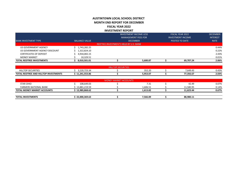### **AUSTINTOWN LOCAL SCHOOL DISTRICT MONTH END REPORT FOR DECEMBER FISCAL YEAR 2022 INVESTMENT REPORT**

| <b>TOTAL REDTREE INVESTMENTS</b> | 8,010,501.01         |                                       | 5,600.87                      | 69,707.24                | 2.06%           |
|----------------------------------|----------------------|---------------------------------------|-------------------------------|--------------------------|-----------------|
| <b>MONEY MARKET</b>              | 10,329.51            |                                       |                               |                          | 0.01%           |
| <b>CERTIFICATES OF DEPOSIT</b>   | 4,934,065.15         |                                       |                               |                          | 2.43%           |
| US GOVERNMENT AGENCY DISCOUNT    | 1,322,824.10         |                                       |                               |                          | 0.22%           |
| US GOVERNMENT AGENCY             | 1,743,282.25         |                                       |                               |                          | 0.44%           |
|                                  |                      | REDTREE INVESTMENTS HELD BY U.S. BANK |                               |                          |                 |
| <b>BANK INVESTMENT TYPE</b>      | <b>BALANCE VALUE</b> |                                       | <b>DECEMBER</b>               | POSTED TO DATE           | <b>RATE</b>     |
|                                  |                      |                                       | <b>MANAGEMENT FEES FOR</b>    | <b>INVESTMENT INCOME</b> | <b>INTEREST</b> |
|                                  |                      |                                       | <b>INVESTMENT INCOME LESS</b> | <b>FISCAL YEAR 2022</b>  | <b>DECEMBER</b> |

|                                                                            |                                             | LOF<br>I HE:<br>нщ |         |           |                          |
|----------------------------------------------------------------------------|---------------------------------------------|--------------------|---------|-----------|--------------------------|
| <b>CURITIES</b>                                                            | $   -$<br>---------                         |                    | 352.20  | 649.<br>4 | A20<br>v. <del>+</del> J |
| <b>TOTAL</b><br><b>LTOP INVESTMENTS</b><br>. AND<br><b>REDTREE</b><br>HILI | 1241 EE2 OC<br>7Л<br><b>00.ccc.it-air</b> - |                    | 5,953.0 | 77.25.27  | 2.03%                    |

|                                    |                | <b>MONEY MARKET ACCOUNTS</b> |          |           |       |
|------------------------------------|----------------|------------------------------|----------|-----------|-------|
| <b>STAR OHIO</b>                   | 108,649.03     |                              | 7.31     | 42.49     | 0.07% |
| <b>FARMERS NATIONAL BANK</b>       | 13.881.219.59  |                              | 1.606.51 | 11.580.95 | 0.14% |
| <b>TOTAL MONEY MARKET ACCOUNTS</b> | 3.989,868.62 i |                              | 1.613.82 | 11,623.44 | 0.67% |
|                                    |                |                              |          |           |       |
| <b>TOTAL INVESTMENTS</b>           | 22,000,369.63  |                              | 7,566.89 | 88,980.11 |       |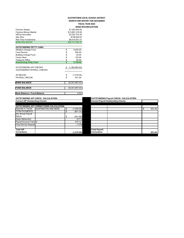#### Farmers Sweep 81,500,000.00 **AUSTINTOWN LOCAL SCHOOL DISTRICT MONTH END REPORT FOR DECEMBER FISCAL YEAR 2022 BANK RECONCILIATION**

| Farmers Money Market               |     | \$13,881,219.59 |
|------------------------------------|-----|-----------------|
| <b>HillTop Securities</b>          |     | \$3,220,723.34  |
| Star Ohio                          |     | \$108,649.03    |
| <b>Red Tree Investments</b>        |     | \$8,010,501.01  |
| <b>BANK BALANCES</b>               |     | \$26,721,092.97 |
|                                    |     |                 |
| <b>OUTSTANDING PETTY CASH</b>      |     |                 |
| <b>Athletics Change Fund</b>       | \$  | 5,000.00        |
| <b>Food Service</b>                | \$  | 550.00          |
| <b>Building Change Fund</b>        | \$  | 50.00           |
| Faclon Nest                        | \$  | 100.00          |
| Treasurer Office                   | \$  | 50.00           |
| <b>Outstanding Petty Cash</b>      | Ś   | 5,750.00        |
|                                    |     |                 |
| <b>OUTSTANDING A/P CHECKS</b>      | -\$ | (1,383,860.93)  |
| <b>OUSTANDING PAYROLL CHECKS</b>   |     |                 |
|                                    |     |                 |
| AP RECON                           | \$  | (1,476.05)      |
| PAYROLL RECON                      | \$  | 451.04          |
| <b>BANK BALANCE</b>                |     | 25,341,957.03   |
|                                    |     |                 |
| <b>FUND BALANCE</b>                |     | 25,341,957.03   |
| <b>Bank Balance = Fund Balance</b> |     | 0.00            |

**CUTSTANDING A/P CHECK CALCULATION:**<br>Current A/P Outstanding Checks

|                          | <b>OUTSTANDING A/P CORRECTIONS CALCULATION:</b> |            |                      |  |        |
|--------------------------|-------------------------------------------------|------------|----------------------|--|--------|
| Deposits in Transit      | <b>HUNTINGTON AND SERS</b>                      | (1,040.00) |                      |  | 451.04 |
| <b>TITAN PAYMENTS</b>    |                                                 | (801.30)   |                      |  |        |
| Kim Smrek Payroll        |                                                 |            |                      |  |        |
| Return                   |                                                 | (541.96)   |                      |  |        |
| Karen Markovitch         |                                                 | (5.71)     |                      |  |        |
| Payroll Account Transfer |                                                 | 914.12     |                      |  |        |
| Food Service Deposit     |                                                 | (1.20)     |                      |  |        |
|                          |                                                 |            |                      |  |        |
| <b>Total A/P</b>         |                                                 |            | <b>Total Payroll</b> |  |        |
| <b>Corrections</b>       |                                                 | (1,476.05) | <b>Corrections</b>   |  | 451.04 |
|                          |                                                 |            |                      |  |        |

**OUTSTANDING Payroll CHECK CALCULATION:**<br>Current Payroll Quistionding Checks

|                      | Current Payron Outstanding Checks |              |
|----------------------|-----------------------------------|--------------|
|                      |                                   |              |
|                      |                                   |              |
|                      |                                   | \$<br>451.04 |
|                      |                                   |              |
|                      |                                   |              |
|                      |                                   |              |
|                      |                                   |              |
|                      |                                   |              |
|                      |                                   |              |
|                      |                                   |              |
| <b>Total Payroll</b> |                                   |              |
| <b>Corrections</b>   |                                   | 451.04       |
|                      |                                   |              |